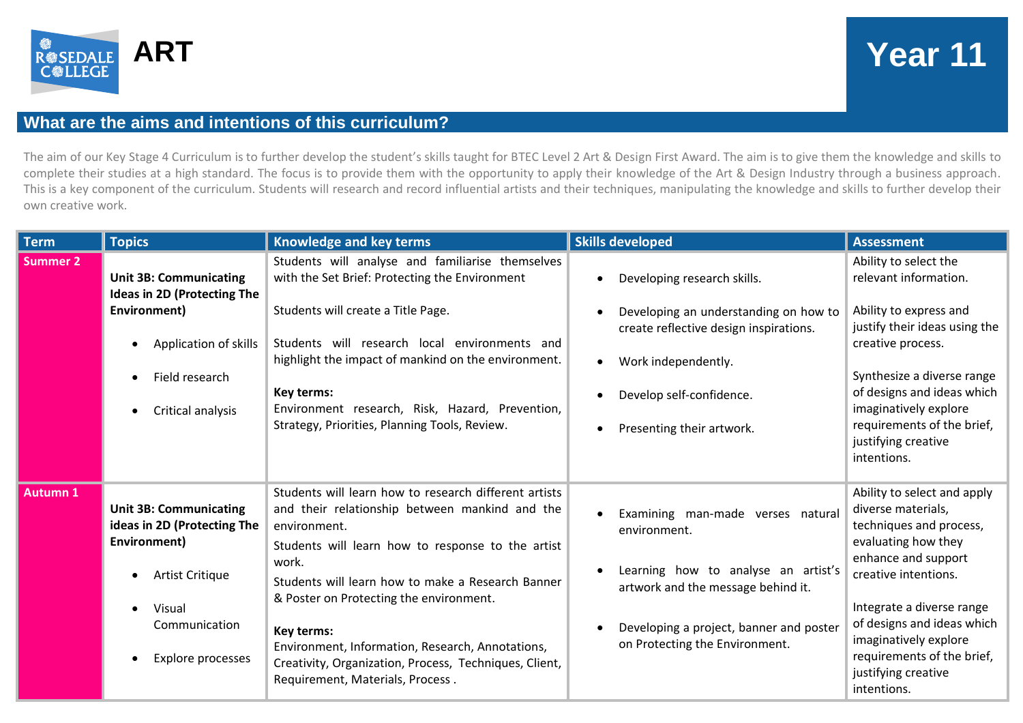

## **ART Year 11**

## **What are the aims and intentions of this curriculum?**

The aim of our Key Stage 4 Curriculum is to further develop the student's skills taught for BTEC Level 2 Art & Design First Award. The aim is to give them the knowledge and skills to complete their studies at a high standard. The focus is to provide them with the opportunity to apply their knowledge of the Art & Design Industry through a business approach. This is a key component of the curriculum. Students will research and record influential artists and their techniques, manipulating the knowledge and skills to further develop their own creative work.

| <b>Term</b>     | <b>Topics</b>                                                                                                                                          | Knowledge and key terms                                                                                                                                                                                                                                                                                                                                                                                                                               | <b>Skills developed</b>                                                                                                                                                                                     | <b>Assessment</b>                                                                                                                                                                                                                                                                                          |
|-----------------|--------------------------------------------------------------------------------------------------------------------------------------------------------|-------------------------------------------------------------------------------------------------------------------------------------------------------------------------------------------------------------------------------------------------------------------------------------------------------------------------------------------------------------------------------------------------------------------------------------------------------|-------------------------------------------------------------------------------------------------------------------------------------------------------------------------------------------------------------|------------------------------------------------------------------------------------------------------------------------------------------------------------------------------------------------------------------------------------------------------------------------------------------------------------|
| <b>Summer 2</b> | <b>Unit 3B: Communicating</b><br><b>Ideas in 2D (Protecting The</b><br>Environment)<br>Application of skills<br>Field research<br>Critical analysis    | Students will analyse and familiarise themselves<br>with the Set Brief: Protecting the Environment<br>Students will create a Title Page.<br>Students will research local environments and<br>highlight the impact of mankind on the environment.<br>Key terms:<br>Environment research, Risk, Hazard, Prevention,<br>Strategy, Priorities, Planning Tools, Review.                                                                                    | Developing research skills.<br>Developing an understanding on how to<br>create reflective design inspirations.<br>Work independently.<br>Develop self-confidence.<br>Presenting their artwork.              | Ability to select the<br>relevant information.<br>Ability to express and<br>justify their ideas using the<br>creative process.<br>Synthesize a diverse range<br>of designs and ideas which<br>imaginatively explore<br>requirements of the brief,<br>justifying creative<br>intentions.                    |
| <b>Autumn 1</b> | <b>Unit 3B: Communicating</b><br>ideas in 2D (Protecting The<br>Environment)<br>Artist Critique<br>Visual<br>Communication<br><b>Explore processes</b> | Students will learn how to research different artists<br>and their relationship between mankind and the<br>environment.<br>Students will learn how to response to the artist<br>work.<br>Students will learn how to make a Research Banner<br>& Poster on Protecting the environment.<br>Key terms:<br>Environment, Information, Research, Annotations,<br>Creativity, Organization, Process, Techniques, Client,<br>Requirement, Materials, Process. | Examining man-made verses natural<br>environment.<br>Learning how to analyse an artist's<br>artwork and the message behind it.<br>Developing a project, banner and poster<br>on Protecting the Environment. | Ability to select and apply<br>diverse materials,<br>techniques and process,<br>evaluating how they<br>enhance and support<br>creative intentions.<br>Integrate a diverse range<br>of designs and ideas which<br>imaginatively explore<br>requirements of the brief,<br>justifying creative<br>intentions. |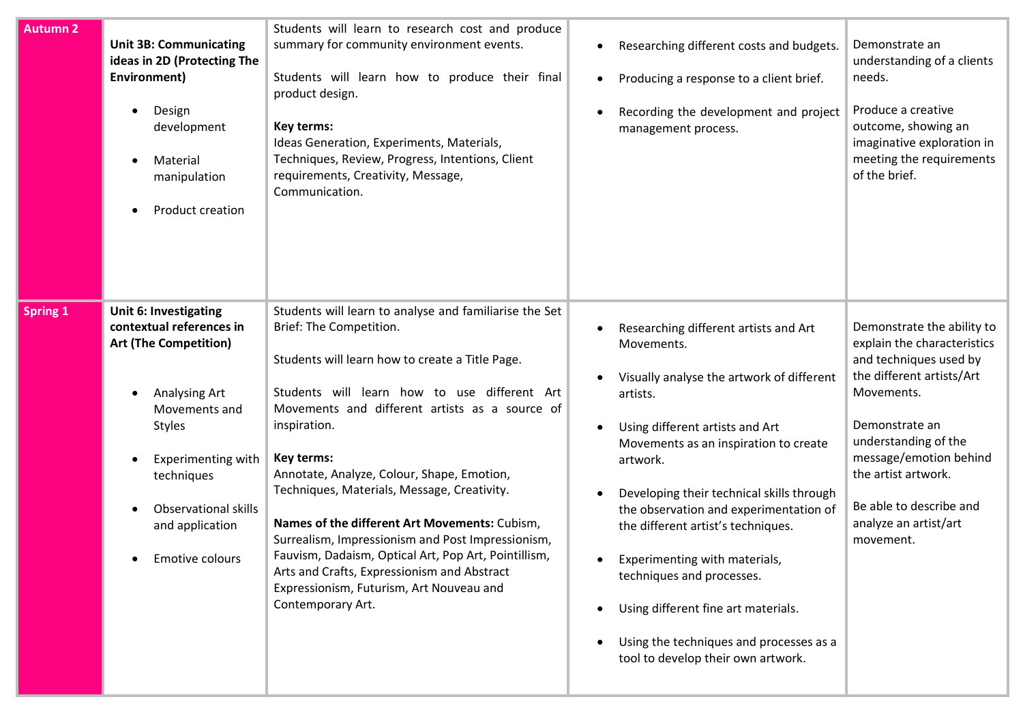| <b>Autumn 2</b> | <b>Unit 3B: Communicating</b><br>ideas in 2D (Protecting The<br>Environment)<br>Design<br>development<br>Material<br>manipulation<br>Product creation                                                                                                                    | Students will learn to research cost and produce<br>summary for community environment events.<br>Students will learn how to produce their final<br>product design.<br>Key terms:<br>Ideas Generation, Experiments, Materials,<br>Techniques, Review, Progress, Intentions, Client<br>requirements, Creativity, Message,<br>Communication.                                                                                                                                                                                                                                                                                                       | $\bullet$                                        | Researching different costs and budgets.<br>Producing a response to a client brief.<br>Recording the development and project<br>management process.                                                                                                                                                                                                                                                                                                                                                                     | Demonstrate an<br>understanding of a clients<br>needs.<br>Produce a creative<br>outcome, showing an<br>imaginative exploration in<br>meeting the requirements<br>of the brief.                                                                                                             |
|-----------------|--------------------------------------------------------------------------------------------------------------------------------------------------------------------------------------------------------------------------------------------------------------------------|-------------------------------------------------------------------------------------------------------------------------------------------------------------------------------------------------------------------------------------------------------------------------------------------------------------------------------------------------------------------------------------------------------------------------------------------------------------------------------------------------------------------------------------------------------------------------------------------------------------------------------------------------|--------------------------------------------------|-------------------------------------------------------------------------------------------------------------------------------------------------------------------------------------------------------------------------------------------------------------------------------------------------------------------------------------------------------------------------------------------------------------------------------------------------------------------------------------------------------------------------|--------------------------------------------------------------------------------------------------------------------------------------------------------------------------------------------------------------------------------------------------------------------------------------------|
| <b>Spring 1</b> | <b>Unit 6: Investigating</b><br>contextual references in<br><b>Art (The Competition)</b><br>Analysing Art<br>$\bullet$<br>Movements and<br><b>Styles</b><br><b>Experimenting with</b><br>techniques<br><b>Observational skills</b><br>and application<br>Emotive colours | Students will learn to analyse and familiarise the Set<br>Brief: The Competition.<br>Students will learn how to create a Title Page.<br>Students will learn how to use different Art<br>Movements and different artists as a source of<br>inspiration.<br>Key terms:<br>Annotate, Analyze, Colour, Shape, Emotion,<br>Techniques, Materials, Message, Creativity.<br>Names of the different Art Movements: Cubism,<br>Surrealism, Impressionism and Post Impressionism,<br>Fauvism, Dadaism, Optical Art, Pop Art, Pointillism,<br>Arts and Crafts, Expressionism and Abstract<br>Expressionism, Futurism, Art Nouveau and<br>Contemporary Art. | $\bullet$<br>$\bullet$<br>$\bullet$<br>$\bullet$ | Researching different artists and Art<br>Movements.<br>Visually analyse the artwork of different<br>artists.<br>Using different artists and Art<br>Movements as an inspiration to create<br>artwork.<br>Developing their technical skills through<br>the observation and experimentation of<br>the different artist's techniques.<br>Experimenting with materials,<br>techniques and processes.<br>Using different fine art materials.<br>Using the techniques and processes as a<br>tool to develop their own artwork. | Demonstrate the ability to<br>explain the characteristics<br>and techniques used by<br>the different artists/Art<br>Movements.<br>Demonstrate an<br>understanding of the<br>message/emotion behind<br>the artist artwork.<br>Be able to describe and<br>analyze an artist/art<br>movement. |